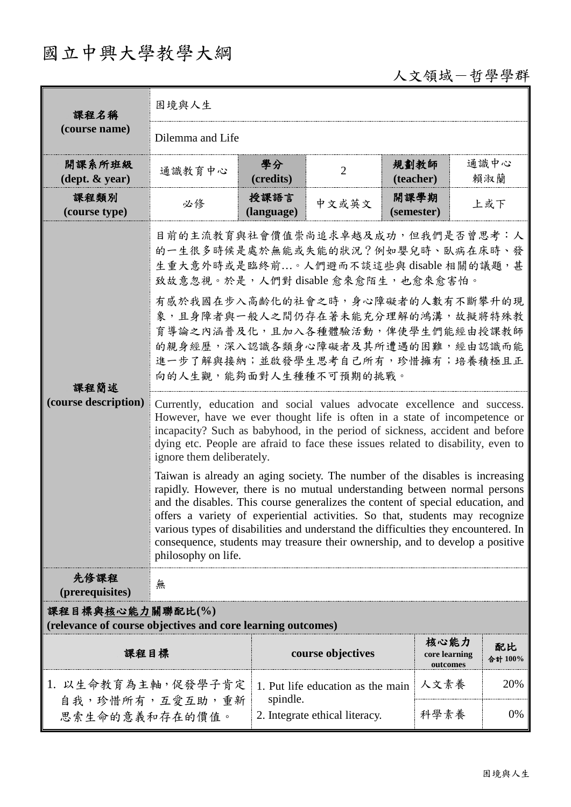## 國立中興大學教學大綱

人文領域-哲學學群

| 課程名稱                                                                            | 困境與人生                                                                                                                                                                                                                                                                                                                                                                                                                                                                                                                                                                                                                                                                                                                                                                                                                                                                                                                                                                                                                                                                                                                                                                                                                                                            |                    |                                   |                    |                           |               |  |
|---------------------------------------------------------------------------------|------------------------------------------------------------------------------------------------------------------------------------------------------------------------------------------------------------------------------------------------------------------------------------------------------------------------------------------------------------------------------------------------------------------------------------------------------------------------------------------------------------------------------------------------------------------------------------------------------------------------------------------------------------------------------------------------------------------------------------------------------------------------------------------------------------------------------------------------------------------------------------------------------------------------------------------------------------------------------------------------------------------------------------------------------------------------------------------------------------------------------------------------------------------------------------------------------------------------------------------------------------------|--------------------|-----------------------------------|--------------------|---------------------------|---------------|--|
| (course name)                                                                   | Dilemma and Life                                                                                                                                                                                                                                                                                                                                                                                                                                                                                                                                                                                                                                                                                                                                                                                                                                                                                                                                                                                                                                                                                                                                                                                                                                                 |                    |                                   |                    |                           |               |  |
| 開課系所班級<br>$(\text{dept.} \& \text{ year})$                                      | 通識教育中心                                                                                                                                                                                                                                                                                                                                                                                                                                                                                                                                                                                                                                                                                                                                                                                                                                                                                                                                                                                                                                                                                                                                                                                                                                                           | 學分<br>(credits)    | $\overline{2}$                    | 規劃教師<br>(teacher)  |                           | 通識中心<br>賴淑蘭   |  |
| 課程類別<br>(course type)                                                           | 必修                                                                                                                                                                                                                                                                                                                                                                                                                                                                                                                                                                                                                                                                                                                                                                                                                                                                                                                                                                                                                                                                                                                                                                                                                                                               | 授課語言<br>(language) | 中文或英文                             | 開課學期<br>(semester) |                           |               |  |
| 課程簡述<br>(course description)                                                    | 上或下<br>目前的主流教育與社會價值崇尚追求卓越及成功,但我們是否曾思考:人<br>的一生很多時候是處於無能或失能的狀況?例如嬰兒時、臥病在床時、發<br>生重大意外時或是臨終前。人們避而不談這些與 disable 相關的議題,甚<br>致故意忽視。於是,人們對 disable 愈來愈陌生, 也愈來愈害怕。<br>有感於我國在步入高齡化的社會之時,身心障礙者的人數有不斷攀升的現<br>象,且身障者與一般人之間仍存在著未能充分理解的鴻溝,故擬將特殊教<br>育導論之內涵普及化,且加入各種體驗活動,俾使學生們能經由授課教師<br>的親身經歷,深入認識各類身心障礙者及其所遭遇的困難,經由認識而能<br>進一步了解與接納;並啟發學生思考自己所有,珍惜擁有;培養積極且正<br>向的人生觀,能夠面對人生種種不可預期的挑戰。<br>Currently, education and social values advocate excellence and success.<br>However, have we ever thought life is often in a state of incompetence or<br>incapacity? Such as babyhood, in the period of sickness, accident and before<br>dying etc. People are afraid to face these issues related to disability, even to<br>ignore them deliberately.<br>Taiwan is already an aging society. The number of the disables is increasing<br>rapidly. However, there is no mutual understanding between normal persons<br>and the disables. This course generalizes the content of special education, and<br>offers a variety of experiential activities. So that, students may recognize<br>various types of disabilities and understand the difficulties they encountered. In<br>consequence, students may treasure their ownership, and to develop a positive<br>philosophy on life. |                    |                                   |                    |                           |               |  |
| 先修課程<br>(prerequisites)                                                         | 無                                                                                                                                                                                                                                                                                                                                                                                                                                                                                                                                                                                                                                                                                                                                                                                                                                                                                                                                                                                                                                                                                                                                                                                                                                                                |                    |                                   |                    |                           |               |  |
| 課程目標與核心能力關聯配比(%)<br>(relevance of course objectives and core learning outcomes) |                                                                                                                                                                                                                                                                                                                                                                                                                                                                                                                                                                                                                                                                                                                                                                                                                                                                                                                                                                                                                                                                                                                                                                                                                                                                  |                    |                                   |                    |                           |               |  |
| 課程目標                                                                            |                                                                                                                                                                                                                                                                                                                                                                                                                                                                                                                                                                                                                                                                                                                                                                                                                                                                                                                                                                                                                                                                                                                                                                                                                                                                  |                    | course objectives                 | 核心能力               | core learning<br>outcomes | 配比<br>合計 100% |  |
| 1. 以生命教育為主軸,促發學子肯定                                                              |                                                                                                                                                                                                                                                                                                                                                                                                                                                                                                                                                                                                                                                                                                                                                                                                                                                                                                                                                                                                                                                                                                                                                                                                                                                                  | spindle.           | 1. Put life education as the main | 人文素養               |                           | 20%           |  |
| 自我,珍惜所有,互愛互助,重新<br>思索生命的意義和存在的價值。                                               |                                                                                                                                                                                                                                                                                                                                                                                                                                                                                                                                                                                                                                                                                                                                                                                                                                                                                                                                                                                                                                                                                                                                                                                                                                                                  |                    | 2. Integrate ethical literacy.    | 科學素養               |                           | 0%            |  |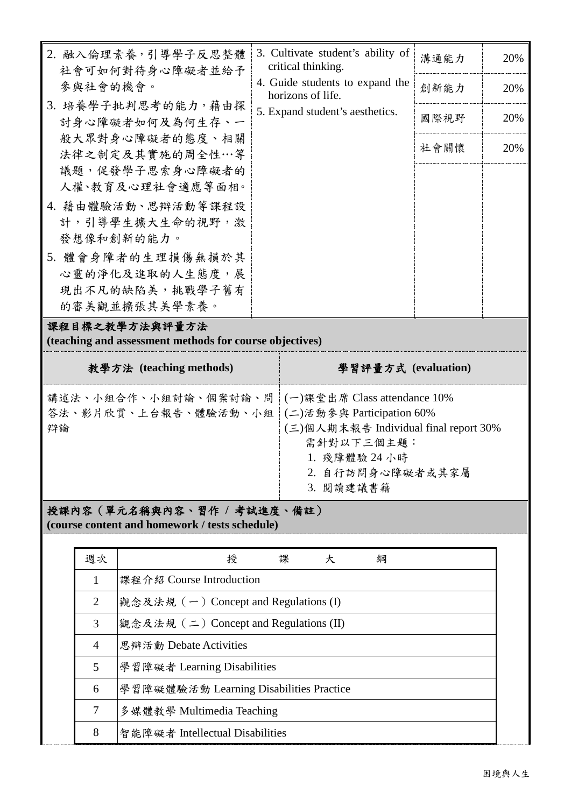| 2. 融入倫理素養,引導學子反思整體<br>社會可如何對待身心障礙者並給予                                     | 3. Cultivate student's ability of<br>critical thinking. | 溝通能力 | 20% |
|---------------------------------------------------------------------------|---------------------------------------------------------|------|-----|
| 參與社會的機會。                                                                  | 4. Guide students to expand the<br>horizons of life.    | 創新能力 | 20% |
| 3. 培養學子批判思考的能力,藉由探<br>討身心障礙者如何及為何生存、一                                     | 5. Expand student's aesthetics.                         | 國際視野 | 20% |
| 般大眾對身心障礙者的態度、相關<br>法律之制定及其實施的周全性…等                                        |                                                         | 社會關懷 | 20% |
| 議題,促發學子思索身心障礙者的<br>人權、教育及心理社會適應等面相。                                       |                                                         |      |     |
| 4. 藉由體驗活動、思辯活動等課程設                                                        |                                                         |      |     |
| 計,引導學生擴大生命的視野,激<br>發想像和創新的能力。                                             |                                                         |      |     |
| 5. 體會身障者的生理損傷無損於其                                                         |                                                         |      |     |
| 心靈的淨化及進取的人生態度,展                                                           |                                                         |      |     |
| 現出不凡的缺陷美,挑戰學子舊有                                                           |                                                         |      |     |
| 的審美觀並擴張其美學素養。                                                             |                                                         |      |     |
| 課程目標之教學方法與評量方法<br>(teaching and assessment methods for course objectives) |                                                         |      |     |
| 教學方法 (teaching methods)                                                   | 學習評量方式 (evaluation)                                     |      |     |

| 講述法、小組合作、小組討論、個案討論、問  (一)課堂出席 Class attendance 10%<br>答法、影片欣賞、上台報告、體驗活動、小組 (二)活動參與 Participation 60% |                                       |
|------------------------------------------------------------------------------------------------------|---------------------------------------|
| 辯論                                                                                                   | (三)個人期末報告 Individual final report 30% |
|                                                                                                      | 需針對以下三個主題:                            |
|                                                                                                      | 1. 殘障體驗 24 小時                         |
|                                                                                                      | 2. 自行訪問身心障礙者或其家屬                      |
|                                                                                                      | 3. 閱讀建議書籍                             |

授課內容(單元名稱與內容、習作 **/** 考試進度、備註) **(course content and homework / tests schedule)**

| 週次             | 授<br>課<br>綱<br>大                        |
|----------------|-----------------------------------------|
| $\mathbf{1}$   | 課程介紹 Course Introduction                |
| 2              | 觀念及法規 (一) Concept and Regulations (I)   |
| 3              | 觀念及法規 (二) Concept and Regulations (II)  |
| $\overline{4}$ | 思辯活動 Debate Activities                  |
| 5              | 學習障礙者 Learning Disabilities             |
| 6              | 學習障礙體驗活動 Learning Disabilities Practice |
| 7              | 多媒體教學 Multimedia Teaching               |
| 8              | 智能障礙者 Intellectual Disabilities         |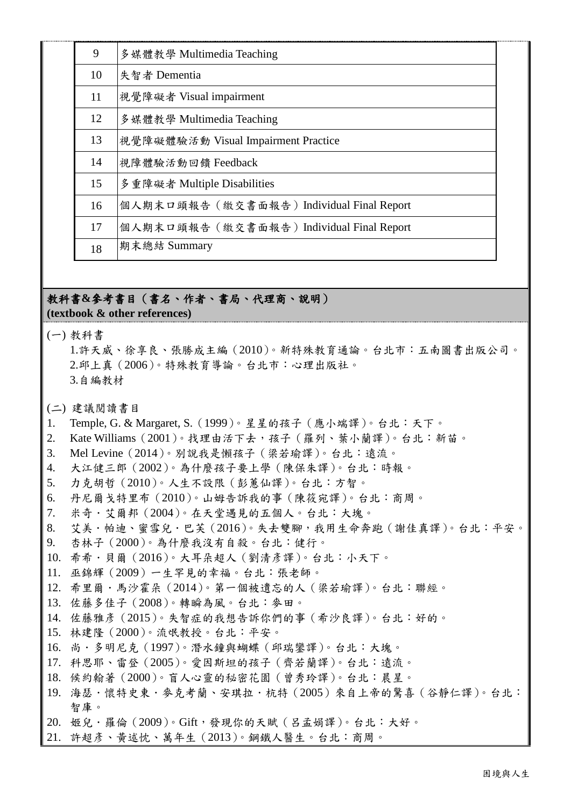| 9  | 多媒體教學 Multimedia Teaching                 |
|----|-------------------------------------------|
| 10 | 失智者 Dementia                              |
| 11 | 視覺障礙者 Visual impairment                   |
| 12 | 多媒體教學 Multimedia Teaching                 |
| 13 | 視覺障礙體驗活動 Visual Impairment Practice       |
| 14 | 視障體驗活動回饋 Feedback                         |
| 15 | 多重障礙者 Multiple Disabilities               |
| 16 | 個人期末口頭報告 (繳交書面報告) Individual Final Report |
| 17 | 個人期末口頭報告 (繳交書面報告) Individual Final Report |
| 18 | 期末總結 Summary                              |

## 教科書**&**參考書目(書名、作者、書局、代理商、說明) **(textbook & other references)**

(一) 教科書

1.許天威、徐享良、張勝成主編(2010)。新特殊教育通論。台北市:五南圖書出版公司。 2.邱上真(2006)。特殊教育導論。台北市:心理出版社。 3.自編教材

(二) 建議閱讀書目

- 1. Temple, G. & Margaret, S.(1999)。星星的孩子(應小端譯)。台北:天下。
- 2. Kate Williams(2001)。找理由活下去,孩子(羅列、葉小蘭譯)。台北:新苗。
- 3. Mel Levine(2014)。別說我是懶孩子(梁若瑜譯)。台北:遠流。
- 4. 大江健三郎(2002)。為什麼孩子要上學(陳保朱譯)。台北:時報。
- 5. 力克胡哲(2010)。人生不設限(彭蕙仙譯)。台北:方智。
- 6. 丹尼爾戈特里布(2010)。山姆告訴我的事(陳筱宛譯)。台北:商周。
- 7. 米奇.艾爾邦(2004)。在天堂遇見的五個人。台北:大塊。
- 8. 艾美.帕迪、蜜雪兒.巴芙(2016)。失去雙腳,我用生命奔跑(謝佳真譯)。台北:平安。
- 9. 杏林子(2000)。為什麼我沒有自殺。台北:健行。
- 10. 希希·貝爾 (2016)。大耳朵超人 (劉清彥譯)。台北:小天下。
- 11. 巫錦輝(2009)一生罕見的幸福。台北:張老師。
- 12. 希里爾·馬沙霍朵 (2014)。第一個被遺忘的人 (梁若瑜譯)。台北:聯經。
- 13. 佐藤多佳子(2008)。轉瞬為風。台北:麥田。
- 14. 佐藤雅彥(2015)。失智症的我想告訴你們的事(希沙良譯)。台北:好的。
- 15. 林建隆(2000)。流氓教授。台北:平安。
- 16. 尚·多明尼克 (1997)。潛水鐘與蝴蝶 (邱瑞鑾譯)。台北:大塊。
- 17. 科思耶、雷登(2005)。愛因斯坦的孩子(齊若蘭譯)。台北:遠流。
- 18. 候約翰著(2000)。盲人心靈的秘密花園(曾秀玲譯)。台北:晨星。
- 19. 海瑟·懷特史東·麥克考蘭、安琪拉·杭特 (2005)來自上帝的驚喜 (谷靜仁譯)。台北: 智庫。
- 20. 姬兒.羅倫(2009)。Gift,發現你的天賦(呂孟娟譯)。台北:大好。
- 21. 許超彥、黃述忱、萬年生(2013)。鋼鐵人醫生。台北:商周。